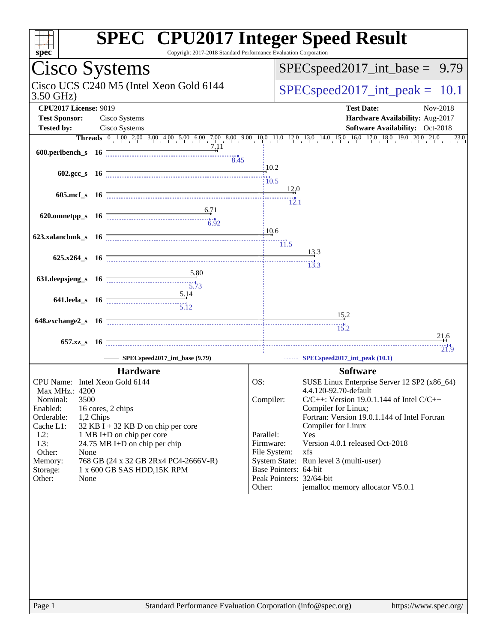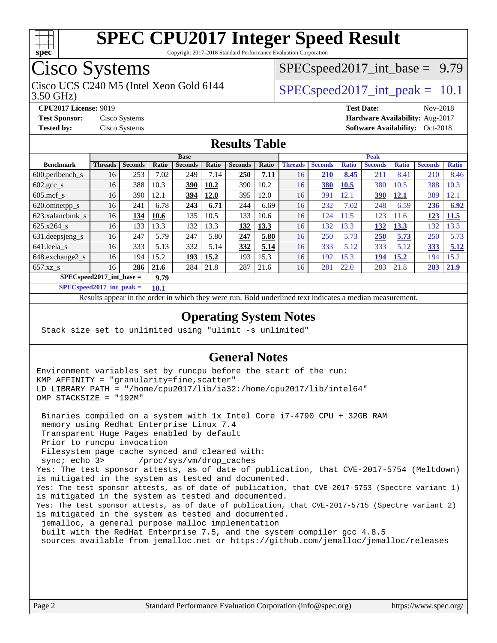![](_page_1_Picture_0.jpeg)

Copyright 2017-2018 Standard Performance Evaluation Corporation

# Cisco Systems

3.50 GHz) Cisco UCS C240 M5 (Intel Xeon Gold 6144  $\vert$  [SPECspeed2017\\_int\\_peak =](http://www.spec.org/auto/cpu2017/Docs/result-fields.html#SPECspeed2017intpeak) 10.1

 $SPECspeed2017\_int\_base = 9.79$ 

**[CPU2017 License:](http://www.spec.org/auto/cpu2017/Docs/result-fields.html#CPU2017License)** 9019 **[Test Date:](http://www.spec.org/auto/cpu2017/Docs/result-fields.html#TestDate)** Nov-2018 **[Test Sponsor:](http://www.spec.org/auto/cpu2017/Docs/result-fields.html#TestSponsor)** Cisco Systems **[Hardware Availability:](http://www.spec.org/auto/cpu2017/Docs/result-fields.html#HardwareAvailability)** Aug-2017 **[Tested by:](http://www.spec.org/auto/cpu2017/Docs/result-fields.html#Testedby)** Cisco Systems **Cisco Systems [Software Availability:](http://www.spec.org/auto/cpu2017/Docs/result-fields.html#SoftwareAvailability)** Oct-2018

### **[Results Table](http://www.spec.org/auto/cpu2017/Docs/result-fields.html#ResultsTable)**

|                             | <b>Base</b>    |                |              |                |       |                |       | <b>Peak</b>    |                |              |                |              |                |              |
|-----------------------------|----------------|----------------|--------------|----------------|-------|----------------|-------|----------------|----------------|--------------|----------------|--------------|----------------|--------------|
| <b>Benchmark</b>            | <b>Threads</b> | <b>Seconds</b> | <b>Ratio</b> | <b>Seconds</b> | Ratio | <b>Seconds</b> | Ratio | <b>Threads</b> | <b>Seconds</b> | <b>Ratio</b> | <b>Seconds</b> | <b>Ratio</b> | <b>Seconds</b> | <b>Ratio</b> |
| 600.perlbench s             | 16             | 253            | 7.02         | 249            | 7.14  | 250            | 7.11  | 16             | 210            | 8.45         | 211            | 8.41         | 210            | 8.46         |
| $602.\text{gcc}\_\text{s}$  | 16             | 388            | 10.3         | <u>390</u>     | 10.2  | 390            | 10.2  | 16             | 380            | 10.5         | 380            | 10.5         | 388            | 10.3         |
| $605 \text{.mcf}$ s         | 16             | 390            | 12.1         | 394            | 12.0  | 395            | 12.0  | 16             | 391            | 12.1         | <u>390</u>     | <u>12.1</u>  | 389            | 12.1         |
| 620.omnetpp_s               | 16             | 241            | 6.78         | 243            | 6.71  | 244            | 6.69  | 16             | 232            | 7.02         | 248            | 6.59         | 236            | 6.92         |
| 623.xalancbmk s             | 16             | 134            | 10.6         | 135            | 10.5  | 133            | 10.6  | 16             | 124            | 11.5         | 123            | 11.6         | 123            | 11.5         |
| 625.x264 s                  | 16             | 133            | 13.3         | 132            | 13.3  | 132            | 13.3  | 16             | 132            | 13.3         | 132            | 13.3         | 132            | 13.3         |
| 631.deepsjeng_s             | 16             | 247            | 5.79         | 247            | 5.80  | 247            | 5.80  | 16             | 250            | 5.73         | <b>250</b>     | 5.73         | 250            | 5.73         |
| 641.leela s                 | 16             | 333            | 5.13         | 332            | 5.14  | 332            | 5.14  | 16             | 333            | 5.12         | 333            | 5.12         | 333            | 5.12         |
| 648.exchange2 s             | 16             | 194            | 15.2         | 193            | 15.2  | 193            | 15.3  | 16             | 192            | 15.3         | 194            | 15.2         | 194            | 15.2         |
| $657.xz$ s                  | 16             | 286            | 21.6         | 284            | 21.8  | 287            | 21.6  | 16             | 281            | 22.0         | 283            | 21.8         | 283            | 21.9         |
| $SPEC speed2017$ int base = |                |                | 9.79         |                |       |                |       |                |                |              |                |              |                |              |

**[SPECspeed2017\\_int\\_peak =](http://www.spec.org/auto/cpu2017/Docs/result-fields.html#SPECspeed2017intpeak) 10.1**

Results appear in the [order in which they were run.](http://www.spec.org/auto/cpu2017/Docs/result-fields.html#RunOrder) Bold underlined text [indicates a median measurement](http://www.spec.org/auto/cpu2017/Docs/result-fields.html#Median).

### **[Operating System Notes](http://www.spec.org/auto/cpu2017/Docs/result-fields.html#OperatingSystemNotes)**

Stack size set to unlimited using "ulimit -s unlimited"

#### **[General Notes](http://www.spec.org/auto/cpu2017/Docs/result-fields.html#GeneralNotes)**

Environment variables set by runcpu before the start of the run: KMP\_AFFINITY = "granularity=fine,scatter" LD\_LIBRARY\_PATH = "/home/cpu2017/lib/ia32:/home/cpu2017/lib/intel64" OMP\_STACKSIZE = "192M"

 Binaries compiled on a system with 1x Intel Core i7-4790 CPU + 32GB RAM memory using Redhat Enterprise Linux 7.4 Transparent Huge Pages enabled by default Prior to runcpu invocation Filesystem page cache synced and cleared with: sync; echo 3> /proc/sys/vm/drop\_caches Yes: The test sponsor attests, as of date of publication, that CVE-2017-5754 (Meltdown) is mitigated in the system as tested and documented. Yes: The test sponsor attests, as of date of publication, that CVE-2017-5753 (Spectre variant 1) is mitigated in the system as tested and documented. Yes: The test sponsor attests, as of date of publication, that CVE-2017-5715 (Spectre variant 2) is mitigated in the system as tested and documented. jemalloc, a general purpose malloc implementation built with the RedHat Enterprise 7.5, and the system compiler gcc 4.8.5 sources available from jemalloc.net or<https://github.com/jemalloc/jemalloc/releases>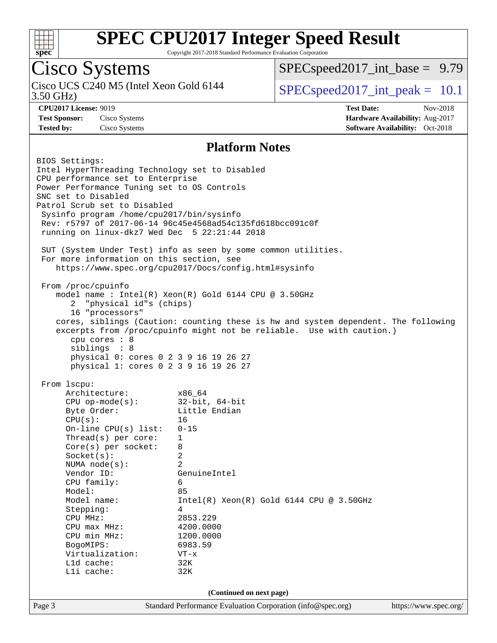![](_page_2_Picture_0.jpeg)

Copyright 2017-2018 Standard Performance Evaluation Corporation

## Cisco Systems

3.50 GHz) Cisco UCS C240 M5 (Intel Xeon Gold 6144  $\vert$  [SPECspeed2017\\_int\\_peak =](http://www.spec.org/auto/cpu2017/Docs/result-fields.html#SPECspeed2017intpeak) 10.1

 $SPECspeed2017\_int\_base = 9.79$ 

**[CPU2017 License:](http://www.spec.org/auto/cpu2017/Docs/result-fields.html#CPU2017License)** 9019 **[Test Date:](http://www.spec.org/auto/cpu2017/Docs/result-fields.html#TestDate)** Nov-2018 **[Test Sponsor:](http://www.spec.org/auto/cpu2017/Docs/result-fields.html#TestSponsor)** Cisco Systems **[Hardware Availability:](http://www.spec.org/auto/cpu2017/Docs/result-fields.html#HardwareAvailability)** Aug-2017 **[Tested by:](http://www.spec.org/auto/cpu2017/Docs/result-fields.html#Testedby)** Cisco Systems **[Software Availability:](http://www.spec.org/auto/cpu2017/Docs/result-fields.html#SoftwareAvailability)** Oct-2018

#### **[Platform Notes](http://www.spec.org/auto/cpu2017/Docs/result-fields.html#PlatformNotes)**

Page 3 Standard Performance Evaluation Corporation [\(info@spec.org\)](mailto:info@spec.org) <https://www.spec.org/> BIOS Settings: Intel HyperThreading Technology set to Disabled CPU performance set to Enterprise Power Performance Tuning set to OS Controls SNC set to Disabled Patrol Scrub set to Disabled Sysinfo program /home/cpu2017/bin/sysinfo Rev: r5797 of 2017-06-14 96c45e4568ad54c135fd618bcc091c0f running on linux-dkz7 Wed Dec 5 22:21:44 2018 SUT (System Under Test) info as seen by some common utilities. For more information on this section, see <https://www.spec.org/cpu2017/Docs/config.html#sysinfo> From /proc/cpuinfo model name : Intel(R) Xeon(R) Gold 6144 CPU @ 3.50GHz 2 "physical id"s (chips) 16 "processors" cores, siblings (Caution: counting these is hw and system dependent. The following excerpts from /proc/cpuinfo might not be reliable. Use with caution.) cpu cores : 8 siblings : 8 physical 0: cores 0 2 3 9 16 19 26 27 physical 1: cores 0 2 3 9 16 19 26 27 From lscpu: Architecture: x86\_64 CPU op-mode(s): 32-bit, 64-bit Byte Order: Little Endian  $CPU(s):$  16 On-line CPU(s) list: 0-15 Thread(s) per core: 1 Core(s) per socket: 8 Socket(s): 2 NUMA node(s): 2 Vendor ID: GenuineIntel CPU family: 6 Model: 85 Model name:  $Intel(R)$  Xeon(R) Gold 6144 CPU @ 3.50GHz Stepping: 4 CPU MHz: 2853.229 CPU max MHz: 4200.0000<br>
CPU min MHz: 1200.0000 CPU min MHz: BogoMIPS: 6983.59 Virtualization: VT-x L1d cache: 32K L1i cache: 32K **(Continued on next page)**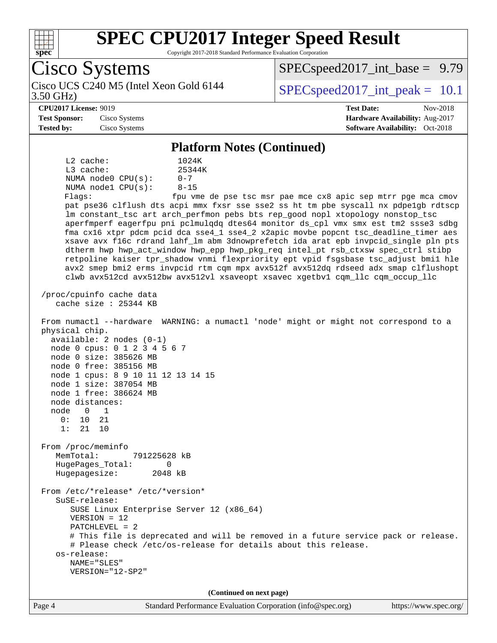![](_page_3_Picture_0.jpeg)

Copyright 2017-2018 Standard Performance Evaluation Corporation

Cisco Systems 3.50 GHz) Cisco UCS C240 M5 (Intel Xeon Gold 6144  $\vert$  [SPECspeed2017\\_int\\_peak =](http://www.spec.org/auto/cpu2017/Docs/result-fields.html#SPECspeed2017intpeak) 10.1  $SPECspeed2017\_int\_base = 9.79$ **[CPU2017 License:](http://www.spec.org/auto/cpu2017/Docs/result-fields.html#CPU2017License)** 9019 **[Test Date:](http://www.spec.org/auto/cpu2017/Docs/result-fields.html#TestDate)** Nov-2018 **[Test Sponsor:](http://www.spec.org/auto/cpu2017/Docs/result-fields.html#TestSponsor)** Cisco Systems **[Hardware Availability:](http://www.spec.org/auto/cpu2017/Docs/result-fields.html#HardwareAvailability)** Aug-2017 **[Tested by:](http://www.spec.org/auto/cpu2017/Docs/result-fields.html#Testedby)** Cisco Systems **[Software Availability:](http://www.spec.org/auto/cpu2017/Docs/result-fields.html#SoftwareAvailability)** Oct-2018 **[Platform Notes \(Continued\)](http://www.spec.org/auto/cpu2017/Docs/result-fields.html#PlatformNotes)** L2 cache: 1024K L3 cache:  $25344K$ <br>NUMA node0 CPU(s):  $0-7$ NUMA node0 CPU(s): NUMA node1 CPU(s): 8-15 Flags: fpu vme de pse tsc msr pae mce cx8 apic sep mtrr pge mca cmov pat pse36 clflush dts acpi mmx fxsr sse sse2 ss ht tm pbe syscall nx pdpe1gb rdtscp lm constant\_tsc art arch\_perfmon pebs bts rep\_good nopl xtopology nonstop\_tsc aperfmperf eagerfpu pni pclmulqdq dtes64 monitor ds\_cpl vmx smx est tm2 ssse3 sdbg fma cx16 xtpr pdcm pcid dca sse4\_1 sse4\_2 x2apic movbe popcnt tsc\_deadline\_timer aes xsave avx f16c rdrand lahf\_lm abm 3dnowprefetch ida arat epb invpcid\_single pln pts dtherm hwp hwp\_act\_window hwp\_epp hwp\_pkg\_req intel\_pt rsb\_ctxsw spec\_ctrl stibp retpoline kaiser tpr\_shadow vnmi flexpriority ept vpid fsgsbase tsc\_adjust bmi1 hle avx2 smep bmi2 erms invpcid rtm cqm mpx avx512f avx512dq rdseed adx smap clflushopt clwb avx512cd avx512bw avx512vl xsaveopt xsavec xgetbv1 cqm\_llc cqm\_occup\_llc /proc/cpuinfo cache data cache size : 25344 KB From numactl --hardware WARNING: a numactl 'node' might or might not correspond to a physical chip. available: 2 nodes (0-1) node 0 cpus: 0 1 2 3 4 5 6 7 node 0 size: 385626 MB node 0 free: 385156 MB node 1 cpus: 8 9 10 11 12 13 14 15 node 1 size: 387054 MB node 1 free: 386624 MB node distances: node 0 1 0: 10 21 1: 21 10 From /proc/meminfo MemTotal: 791225628 kB HugePages\_Total: 0 Hugepagesize: 2048 kB From /etc/\*release\* /etc/\*version\* SuSE-release: SUSE Linux Enterprise Server 12 (x86\_64) VERSION = 12 PATCHLEVEL = 2 # This file is deprecated and will be removed in a future service pack or release. # Please check /etc/os-release for details about this release. os-release: NAME="SLES" VERSION="12-SP2" **(Continued on next page)**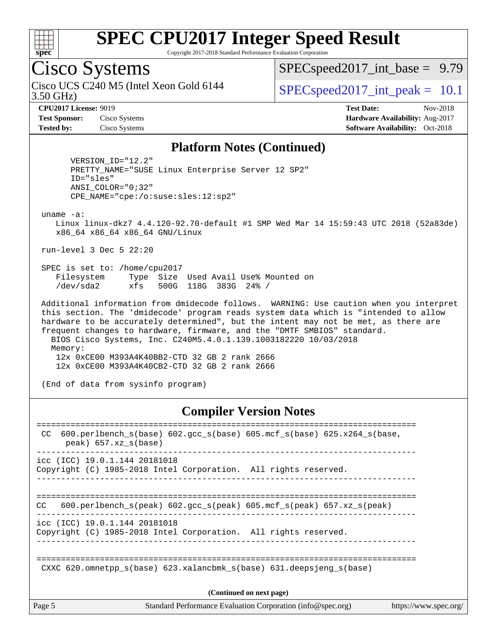![](_page_4_Picture_0.jpeg)

Copyright 2017-2018 Standard Performance Evaluation Corporation

## Cisco Systems

3.50 GHz) Cisco UCS C240 M5 (Intel Xeon Gold 6144  $\vert$  [SPECspeed2017\\_int\\_peak =](http://www.spec.org/auto/cpu2017/Docs/result-fields.html#SPECspeed2017intpeak) 10.1

 $SPECspeed2017\_int\_base = 9.79$ 

**[CPU2017 License:](http://www.spec.org/auto/cpu2017/Docs/result-fields.html#CPU2017License)** 9019 **[Test Date:](http://www.spec.org/auto/cpu2017/Docs/result-fields.html#TestDate)** Nov-2018 **[Test Sponsor:](http://www.spec.org/auto/cpu2017/Docs/result-fields.html#TestSponsor)** Cisco Systems **[Hardware Availability:](http://www.spec.org/auto/cpu2017/Docs/result-fields.html#HardwareAvailability)** Aug-2017 **[Tested by:](http://www.spec.org/auto/cpu2017/Docs/result-fields.html#Testedby)** Cisco Systems **Cisco Systems [Software Availability:](http://www.spec.org/auto/cpu2017/Docs/result-fields.html#SoftwareAvailability)** Oct-2018

#### **[Platform Notes \(Continued\)](http://www.spec.org/auto/cpu2017/Docs/result-fields.html#PlatformNotes)**

 VERSION\_ID="12.2" PRETTY\_NAME="SUSE Linux Enterprise Server 12 SP2" ID="sles" ANSI\_COLOR="0;32" CPE\_NAME="cpe:/o:suse:sles:12:sp2"

uname -a:

 Linux linux-dkz7 4.4.120-92.70-default #1 SMP Wed Mar 14 15:59:43 UTC 2018 (52a83de) x86\_64 x86\_64 x86\_64 GNU/Linux

run-level 3 Dec 5 22:20

 SPEC is set to: /home/cpu2017 Filesystem Type Size Used Avail Use% Mounted on /dev/sda2 xfs 500G 118G 383G 24% /

 Additional information from dmidecode follows. WARNING: Use caution when you interpret this section. The 'dmidecode' program reads system data which is "intended to allow hardware to be accurately determined", but the intent may not be met, as there are frequent changes to hardware, firmware, and the "DMTF SMBIOS" standard. BIOS Cisco Systems, Inc. C240M5.4.0.1.139.1003182220 10/03/2018 Memory: 12x 0xCE00 M393A4K40BB2-CTD 32 GB 2 rank 2666 12x 0xCE00 M393A4K40CB2-CTD 32 GB 2 rank 2666

(End of data from sysinfo program)

#### **[Compiler Version Notes](http://www.spec.org/auto/cpu2017/Docs/result-fields.html#CompilerVersionNotes)**

| Page 5 | Standard Performance Evaluation Corporation (info@spec.org)<br>https://www.spec.org/                   |
|--------|--------------------------------------------------------------------------------------------------------|
|        | (Continued on next page)                                                                               |
|        | CXXC 620.omnetpp $s(base)$ 623.xalancbmk $s(base)$ 631.deepsjeng $s(base)$                             |
|        | icc (ICC) 19.0.1.144 20181018<br>Copyright (C) 1985-2018 Intel Corporation. All rights reserved.       |
| CC.    | 600.perlbench $s$ (peak) 602.gcc $s$ (peak) 605.mcf $s$ (peak) 657.xz $s$ (peak)                       |
|        | icc (ICC) 19.0.1.144 20181018<br>Copyright (C) 1985-2018 Intel Corporation. All rights reserved.       |
| CC.    | $600. perlbench_s(base) 602. gcc_s(base) 605.mcf_s(base) 625.x264_s(base,$<br>$peak)$ 657.xz $s(base)$ |
|        |                                                                                                        |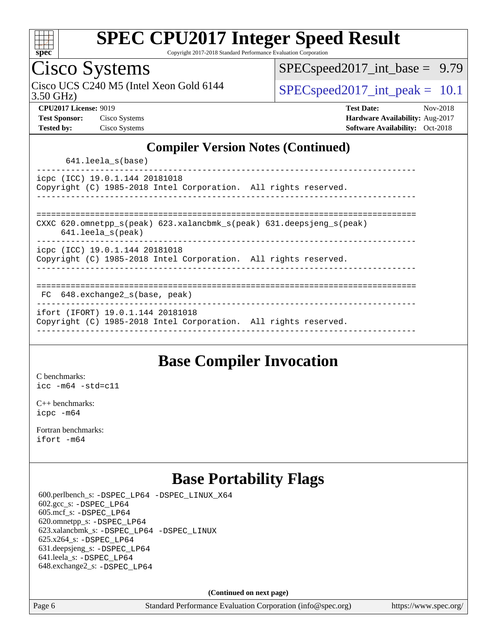![](_page_5_Picture_0.jpeg)

Copyright 2017-2018 Standard Performance Evaluation Corporation

## Cisco Systems

3.50 GHz) Cisco UCS C240 M5 (Intel Xeon Gold 6144  $\vert$  [SPECspeed2017\\_int\\_peak =](http://www.spec.org/auto/cpu2017/Docs/result-fields.html#SPECspeed2017intpeak) 10.1

[SPECspeed2017\\_int\\_base =](http://www.spec.org/auto/cpu2017/Docs/result-fields.html#SPECspeed2017intbase) 9.79

**[CPU2017 License:](http://www.spec.org/auto/cpu2017/Docs/result-fields.html#CPU2017License)** 9019 **[Test Date:](http://www.spec.org/auto/cpu2017/Docs/result-fields.html#TestDate)** Nov-2018 **[Test Sponsor:](http://www.spec.org/auto/cpu2017/Docs/result-fields.html#TestSponsor)** Cisco Systems **[Hardware Availability:](http://www.spec.org/auto/cpu2017/Docs/result-fields.html#HardwareAvailability)** Aug-2017 **[Tested by:](http://www.spec.org/auto/cpu2017/Docs/result-fields.html#Testedby)** Cisco Systems **[Software Availability:](http://www.spec.org/auto/cpu2017/Docs/result-fields.html#SoftwareAvailability)** Oct-2018

#### **[Compiler Version Notes \(Continued\)](http://www.spec.org/auto/cpu2017/Docs/result-fields.html#CompilerVersionNotes)**

641.leela\_s(base)

----------------------------------------------------------------------------- icpc (ICC) 19.0.1.144 20181018 Copyright (C) 1985-2018 Intel Corporation. All rights reserved. ------------------------------------------------------------------------------

============================================================================== CXXC 620.omnetpp\_s(peak) 623.xalancbmk\_s(peak) 631.deepsjeng\_s(peak)

641.leela\_s(peak)

------------------------------------------------------------------------------

icpc (ICC) 19.0.1.144 20181018 Copyright (C) 1985-2018 Intel Corporation. All rights reserved.

------------------------------------------------------------------------------

#### ==============================================================================

 FC 648.exchange2\_s(base, peak) ------------------------------------------------------------------------------

ifort (IFORT) 19.0.1.144 20181018

Copyright (C) 1985-2018 Intel Corporation. All rights reserved. ------------------------------------------------------------------------------

### **[Base Compiler Invocation](http://www.spec.org/auto/cpu2017/Docs/result-fields.html#BaseCompilerInvocation)**

[C benchmarks](http://www.spec.org/auto/cpu2017/Docs/result-fields.html#Cbenchmarks): [icc -m64 -std=c11](http://www.spec.org/cpu2017/results/res2018q4/cpu2017-20181211-10269.flags.html#user_CCbase_intel_icc_64bit_c11_33ee0cdaae7deeeab2a9725423ba97205ce30f63b9926c2519791662299b76a0318f32ddfffdc46587804de3178b4f9328c46fa7c2b0cd779d7a61945c91cd35)

[C++ benchmarks:](http://www.spec.org/auto/cpu2017/Docs/result-fields.html#CXXbenchmarks) [icpc -m64](http://www.spec.org/cpu2017/results/res2018q4/cpu2017-20181211-10269.flags.html#user_CXXbase_intel_icpc_64bit_4ecb2543ae3f1412ef961e0650ca070fec7b7afdcd6ed48761b84423119d1bf6bdf5cad15b44d48e7256388bc77273b966e5eb805aefd121eb22e9299b2ec9d9)

[Fortran benchmarks](http://www.spec.org/auto/cpu2017/Docs/result-fields.html#Fortranbenchmarks): [ifort -m64](http://www.spec.org/cpu2017/results/res2018q4/cpu2017-20181211-10269.flags.html#user_FCbase_intel_ifort_64bit_24f2bb282fbaeffd6157abe4f878425411749daecae9a33200eee2bee2fe76f3b89351d69a8130dd5949958ce389cf37ff59a95e7a40d588e8d3a57e0c3fd751)

### **[Base Portability Flags](http://www.spec.org/auto/cpu2017/Docs/result-fields.html#BasePortabilityFlags)**

 600.perlbench\_s: [-DSPEC\\_LP64](http://www.spec.org/cpu2017/results/res2018q4/cpu2017-20181211-10269.flags.html#b600.perlbench_s_basePORTABILITY_DSPEC_LP64) [-DSPEC\\_LINUX\\_X64](http://www.spec.org/cpu2017/results/res2018q4/cpu2017-20181211-10269.flags.html#b600.perlbench_s_baseCPORTABILITY_DSPEC_LINUX_X64) 602.gcc\_s: [-DSPEC\\_LP64](http://www.spec.org/cpu2017/results/res2018q4/cpu2017-20181211-10269.flags.html#suite_basePORTABILITY602_gcc_s_DSPEC_LP64) 605.mcf\_s: [-DSPEC\\_LP64](http://www.spec.org/cpu2017/results/res2018q4/cpu2017-20181211-10269.flags.html#suite_basePORTABILITY605_mcf_s_DSPEC_LP64) 620.omnetpp\_s: [-DSPEC\\_LP64](http://www.spec.org/cpu2017/results/res2018q4/cpu2017-20181211-10269.flags.html#suite_basePORTABILITY620_omnetpp_s_DSPEC_LP64) 623.xalancbmk\_s: [-DSPEC\\_LP64](http://www.spec.org/cpu2017/results/res2018q4/cpu2017-20181211-10269.flags.html#suite_basePORTABILITY623_xalancbmk_s_DSPEC_LP64) [-DSPEC\\_LINUX](http://www.spec.org/cpu2017/results/res2018q4/cpu2017-20181211-10269.flags.html#b623.xalancbmk_s_baseCXXPORTABILITY_DSPEC_LINUX) 625.x264\_s: [-DSPEC\\_LP64](http://www.spec.org/cpu2017/results/res2018q4/cpu2017-20181211-10269.flags.html#suite_basePORTABILITY625_x264_s_DSPEC_LP64) 631.deepsjeng\_s: [-DSPEC\\_LP64](http://www.spec.org/cpu2017/results/res2018q4/cpu2017-20181211-10269.flags.html#suite_basePORTABILITY631_deepsjeng_s_DSPEC_LP64) 641.leela\_s: [-DSPEC\\_LP64](http://www.spec.org/cpu2017/results/res2018q4/cpu2017-20181211-10269.flags.html#suite_basePORTABILITY641_leela_s_DSPEC_LP64) 648.exchange2\_s: [-DSPEC\\_LP64](http://www.spec.org/cpu2017/results/res2018q4/cpu2017-20181211-10269.flags.html#suite_basePORTABILITY648_exchange2_s_DSPEC_LP64)

**(Continued on next page)**

Page 6 Standard Performance Evaluation Corporation [\(info@spec.org\)](mailto:info@spec.org) <https://www.spec.org/>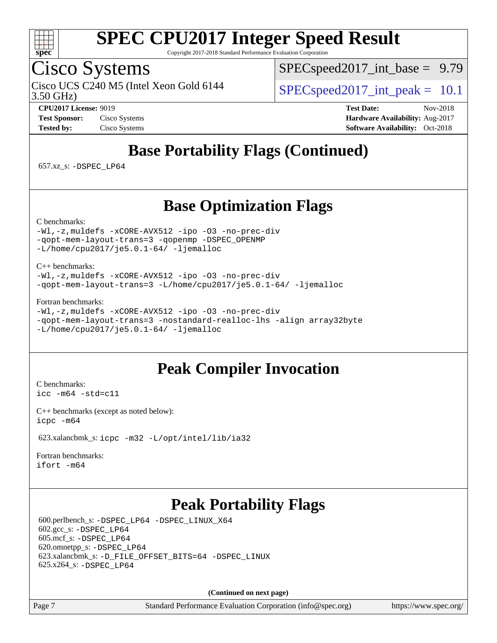![](_page_6_Picture_0.jpeg)

Copyright 2017-2018 Standard Performance Evaluation Corporation

## Cisco Systems

3.50 GHz) Cisco UCS C240 M5 (Intel Xeon Gold 6144  $\vert$  [SPECspeed2017\\_int\\_peak =](http://www.spec.org/auto/cpu2017/Docs/result-fields.html#SPECspeed2017intpeak) 10.1

 $SPEC speed2017\_int\_base = 9.79$ 

**[CPU2017 License:](http://www.spec.org/auto/cpu2017/Docs/result-fields.html#CPU2017License)** 9019 **[Test Date:](http://www.spec.org/auto/cpu2017/Docs/result-fields.html#TestDate)** Nov-2018 **[Test Sponsor:](http://www.spec.org/auto/cpu2017/Docs/result-fields.html#TestSponsor)** Cisco Systems **[Hardware Availability:](http://www.spec.org/auto/cpu2017/Docs/result-fields.html#HardwareAvailability)** Aug-2017 **[Tested by:](http://www.spec.org/auto/cpu2017/Docs/result-fields.html#Testedby)** Cisco Systems **[Software Availability:](http://www.spec.org/auto/cpu2017/Docs/result-fields.html#SoftwareAvailability)** Oct-2018

## **[Base Portability Flags \(Continued\)](http://www.spec.org/auto/cpu2017/Docs/result-fields.html#BasePortabilityFlags)**

657.xz\_s: [-DSPEC\\_LP64](http://www.spec.org/cpu2017/results/res2018q4/cpu2017-20181211-10269.flags.html#suite_basePORTABILITY657_xz_s_DSPEC_LP64)

### **[Base Optimization Flags](http://www.spec.org/auto/cpu2017/Docs/result-fields.html#BaseOptimizationFlags)**

[C benchmarks](http://www.spec.org/auto/cpu2017/Docs/result-fields.html#Cbenchmarks):

[-Wl,-z,muldefs](http://www.spec.org/cpu2017/results/res2018q4/cpu2017-20181211-10269.flags.html#user_CCbase_link_force_multiple1_b4cbdb97b34bdee9ceefcfe54f4c8ea74255f0b02a4b23e853cdb0e18eb4525ac79b5a88067c842dd0ee6996c24547a27a4b99331201badda8798ef8a743f577) [-xCORE-AVX512](http://www.spec.org/cpu2017/results/res2018q4/cpu2017-20181211-10269.flags.html#user_CCbase_f-xCORE-AVX512) [-ipo](http://www.spec.org/cpu2017/results/res2018q4/cpu2017-20181211-10269.flags.html#user_CCbase_f-ipo) [-O3](http://www.spec.org/cpu2017/results/res2018q4/cpu2017-20181211-10269.flags.html#user_CCbase_f-O3) [-no-prec-div](http://www.spec.org/cpu2017/results/res2018q4/cpu2017-20181211-10269.flags.html#user_CCbase_f-no-prec-div) [-qopt-mem-layout-trans=3](http://www.spec.org/cpu2017/results/res2018q4/cpu2017-20181211-10269.flags.html#user_CCbase_f-qopt-mem-layout-trans_de80db37974c74b1f0e20d883f0b675c88c3b01e9d123adea9b28688d64333345fb62bc4a798493513fdb68f60282f9a726aa07f478b2f7113531aecce732043) [-qopenmp](http://www.spec.org/cpu2017/results/res2018q4/cpu2017-20181211-10269.flags.html#user_CCbase_qopenmp_16be0c44f24f464004c6784a7acb94aca937f053568ce72f94b139a11c7c168634a55f6653758ddd83bcf7b8463e8028bb0b48b77bcddc6b78d5d95bb1df2967) [-DSPEC\\_OPENMP](http://www.spec.org/cpu2017/results/res2018q4/cpu2017-20181211-10269.flags.html#suite_CCbase_DSPEC_OPENMP) [-L/home/cpu2017/je5.0.1-64/](http://www.spec.org/cpu2017/results/res2018q4/cpu2017-20181211-10269.flags.html#user_CCbase_jemalloc_link_path64_8e927a5f1bdac0405e66c637541874330e08086b5e62a1d024bcf3497e3c64fd173c8afb7d1730d51f6da781ef4c439bdab468bb8364cf71435e0c609fac500c) [-ljemalloc](http://www.spec.org/cpu2017/results/res2018q4/cpu2017-20181211-10269.flags.html#user_CCbase_jemalloc_link_lib_d1249b907c500fa1c0672f44f562e3d0f79738ae9e3c4a9c376d49f265a04b9c99b167ecedbf6711b3085be911c67ff61f150a17b3472be731631ba4d0471706)

[C++ benchmarks:](http://www.spec.org/auto/cpu2017/Docs/result-fields.html#CXXbenchmarks)

[-Wl,-z,muldefs](http://www.spec.org/cpu2017/results/res2018q4/cpu2017-20181211-10269.flags.html#user_CXXbase_link_force_multiple1_b4cbdb97b34bdee9ceefcfe54f4c8ea74255f0b02a4b23e853cdb0e18eb4525ac79b5a88067c842dd0ee6996c24547a27a4b99331201badda8798ef8a743f577) [-xCORE-AVX512](http://www.spec.org/cpu2017/results/res2018q4/cpu2017-20181211-10269.flags.html#user_CXXbase_f-xCORE-AVX512) [-ipo](http://www.spec.org/cpu2017/results/res2018q4/cpu2017-20181211-10269.flags.html#user_CXXbase_f-ipo) [-O3](http://www.spec.org/cpu2017/results/res2018q4/cpu2017-20181211-10269.flags.html#user_CXXbase_f-O3) [-no-prec-div](http://www.spec.org/cpu2017/results/res2018q4/cpu2017-20181211-10269.flags.html#user_CXXbase_f-no-prec-div) [-qopt-mem-layout-trans=3](http://www.spec.org/cpu2017/results/res2018q4/cpu2017-20181211-10269.flags.html#user_CXXbase_f-qopt-mem-layout-trans_de80db37974c74b1f0e20d883f0b675c88c3b01e9d123adea9b28688d64333345fb62bc4a798493513fdb68f60282f9a726aa07f478b2f7113531aecce732043) [-L/home/cpu2017/je5.0.1-64/](http://www.spec.org/cpu2017/results/res2018q4/cpu2017-20181211-10269.flags.html#user_CXXbase_jemalloc_link_path64_8e927a5f1bdac0405e66c637541874330e08086b5e62a1d024bcf3497e3c64fd173c8afb7d1730d51f6da781ef4c439bdab468bb8364cf71435e0c609fac500c) [-ljemalloc](http://www.spec.org/cpu2017/results/res2018q4/cpu2017-20181211-10269.flags.html#user_CXXbase_jemalloc_link_lib_d1249b907c500fa1c0672f44f562e3d0f79738ae9e3c4a9c376d49f265a04b9c99b167ecedbf6711b3085be911c67ff61f150a17b3472be731631ba4d0471706)

[Fortran benchmarks](http://www.spec.org/auto/cpu2017/Docs/result-fields.html#Fortranbenchmarks):

```
-Wl,-z,muldefs -xCORE-AVX512 -ipo -O3 -no-prec-div
-qopt-mem-layout-trans=3 -nostandard-realloc-lhs -align array32byte
-L/home/cpu2017/je5.0.1-64/ -ljemalloc
```
### **[Peak Compiler Invocation](http://www.spec.org/auto/cpu2017/Docs/result-fields.html#PeakCompilerInvocation)**

[C benchmarks](http://www.spec.org/auto/cpu2017/Docs/result-fields.html#Cbenchmarks): [icc -m64 -std=c11](http://www.spec.org/cpu2017/results/res2018q4/cpu2017-20181211-10269.flags.html#user_CCpeak_intel_icc_64bit_c11_33ee0cdaae7deeeab2a9725423ba97205ce30f63b9926c2519791662299b76a0318f32ddfffdc46587804de3178b4f9328c46fa7c2b0cd779d7a61945c91cd35)

[C++ benchmarks \(except as noted below\):](http://www.spec.org/auto/cpu2017/Docs/result-fields.html#CXXbenchmarksexceptasnotedbelow) [icpc -m64](http://www.spec.org/cpu2017/results/res2018q4/cpu2017-20181211-10269.flags.html#user_CXXpeak_intel_icpc_64bit_4ecb2543ae3f1412ef961e0650ca070fec7b7afdcd6ed48761b84423119d1bf6bdf5cad15b44d48e7256388bc77273b966e5eb805aefd121eb22e9299b2ec9d9)

623.xalancbmk\_s: [icpc -m32 -L/opt/intel/lib/ia32](http://www.spec.org/cpu2017/results/res2018q4/cpu2017-20181211-10269.flags.html#user_peakCXXLD623_xalancbmk_s_intel_icpc_44eae83c1f565e7e266431f067370024ba26559400a3332485578bf716e23841c734f948145e944e2f4b6f3ce32c2c966ea92b66ca79c6f94f301242c0f554cf)

[Fortran benchmarks](http://www.spec.org/auto/cpu2017/Docs/result-fields.html#Fortranbenchmarks): [ifort -m64](http://www.spec.org/cpu2017/results/res2018q4/cpu2017-20181211-10269.flags.html#user_FCpeak_intel_ifort_64bit_24f2bb282fbaeffd6157abe4f878425411749daecae9a33200eee2bee2fe76f3b89351d69a8130dd5949958ce389cf37ff59a95e7a40d588e8d3a57e0c3fd751)

### **[Peak Portability Flags](http://www.spec.org/auto/cpu2017/Docs/result-fields.html#PeakPortabilityFlags)**

 600.perlbench\_s: [-DSPEC\\_LP64](http://www.spec.org/cpu2017/results/res2018q4/cpu2017-20181211-10269.flags.html#b600.perlbench_s_peakPORTABILITY_DSPEC_LP64) [-DSPEC\\_LINUX\\_X64](http://www.spec.org/cpu2017/results/res2018q4/cpu2017-20181211-10269.flags.html#b600.perlbench_s_peakCPORTABILITY_DSPEC_LINUX_X64) 602.gcc\_s: [-DSPEC\\_LP64](http://www.spec.org/cpu2017/results/res2018q4/cpu2017-20181211-10269.flags.html#suite_peakPORTABILITY602_gcc_s_DSPEC_LP64) 605.mcf\_s: [-DSPEC\\_LP64](http://www.spec.org/cpu2017/results/res2018q4/cpu2017-20181211-10269.flags.html#suite_peakPORTABILITY605_mcf_s_DSPEC_LP64) 620.omnetpp\_s: [-DSPEC\\_LP64](http://www.spec.org/cpu2017/results/res2018q4/cpu2017-20181211-10269.flags.html#suite_peakPORTABILITY620_omnetpp_s_DSPEC_LP64) 623.xalancbmk\_s: [-D\\_FILE\\_OFFSET\\_BITS=64](http://www.spec.org/cpu2017/results/res2018q4/cpu2017-20181211-10269.flags.html#user_peakPORTABILITY623_xalancbmk_s_file_offset_bits_64_5ae949a99b284ddf4e95728d47cb0843d81b2eb0e18bdfe74bbf0f61d0b064f4bda2f10ea5eb90e1dcab0e84dbc592acfc5018bc955c18609f94ddb8d550002c) [-DSPEC\\_LINUX](http://www.spec.org/cpu2017/results/res2018q4/cpu2017-20181211-10269.flags.html#b623.xalancbmk_s_peakCXXPORTABILITY_DSPEC_LINUX) 625.x264\_s: [-DSPEC\\_LP64](http://www.spec.org/cpu2017/results/res2018q4/cpu2017-20181211-10269.flags.html#suite_peakPORTABILITY625_x264_s_DSPEC_LP64)

**(Continued on next page)**

Page 7 Standard Performance Evaluation Corporation [\(info@spec.org\)](mailto:info@spec.org) <https://www.spec.org/>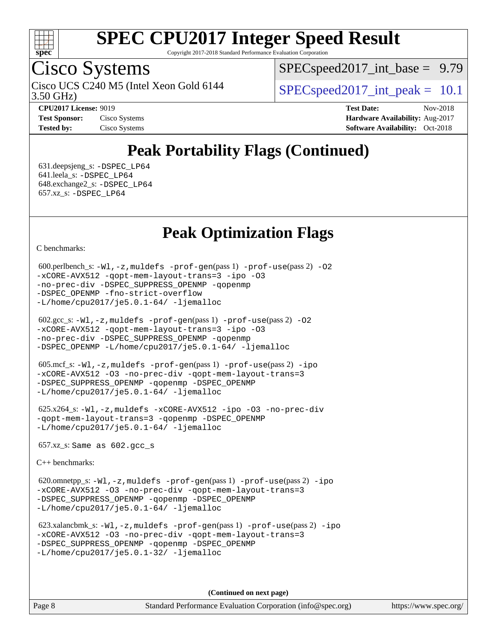![](_page_7_Picture_0.jpeg)

Copyright 2017-2018 Standard Performance Evaluation Corporation

## Cisco Systems

3.50 GHz) Cisco UCS C240 M5 (Intel Xeon Gold 6144  $\vert$  [SPECspeed2017\\_int\\_peak =](http://www.spec.org/auto/cpu2017/Docs/result-fields.html#SPECspeed2017intpeak) 10.1

 $SPECspeed2017\_int\_base = 9.79$ 

**[CPU2017 License:](http://www.spec.org/auto/cpu2017/Docs/result-fields.html#CPU2017License)** 9019 **[Test Date:](http://www.spec.org/auto/cpu2017/Docs/result-fields.html#TestDate)** Nov-2018 **[Test Sponsor:](http://www.spec.org/auto/cpu2017/Docs/result-fields.html#TestSponsor)** Cisco Systems **Cisco Systems [Hardware Availability:](http://www.spec.org/auto/cpu2017/Docs/result-fields.html#HardwareAvailability)** Aug-2017 **[Tested by:](http://www.spec.org/auto/cpu2017/Docs/result-fields.html#Testedby)** Cisco Systems **[Software Availability:](http://www.spec.org/auto/cpu2017/Docs/result-fields.html#SoftwareAvailability)** Oct-2018

## **[Peak Portability Flags \(Continued\)](http://www.spec.org/auto/cpu2017/Docs/result-fields.html#PeakPortabilityFlags)**

 631.deepsjeng\_s: [-DSPEC\\_LP64](http://www.spec.org/cpu2017/results/res2018q4/cpu2017-20181211-10269.flags.html#suite_peakPORTABILITY631_deepsjeng_s_DSPEC_LP64) 641.leela\_s: [-DSPEC\\_LP64](http://www.spec.org/cpu2017/results/res2018q4/cpu2017-20181211-10269.flags.html#suite_peakPORTABILITY641_leela_s_DSPEC_LP64) 648.exchange2\_s: [-DSPEC\\_LP64](http://www.spec.org/cpu2017/results/res2018q4/cpu2017-20181211-10269.flags.html#suite_peakPORTABILITY648_exchange2_s_DSPEC_LP64) 657.xz\_s: [-DSPEC\\_LP64](http://www.spec.org/cpu2017/results/res2018q4/cpu2017-20181211-10269.flags.html#suite_peakPORTABILITY657_xz_s_DSPEC_LP64)

### **[Peak Optimization Flags](http://www.spec.org/auto/cpu2017/Docs/result-fields.html#PeakOptimizationFlags)**

[C benchmarks](http://www.spec.org/auto/cpu2017/Docs/result-fields.html#Cbenchmarks):

```
600.perlbench_s: -W1-prof-gen-prof-use(pass 2) -02
-xCORE-AVX512 -qopt-mem-layout-trans=3 -ipo -O3
-no-prec-div -DSPEC_SUPPRESS_OPENMP -qopenmp
-DSPEC_OPENMP -fno-strict-overflow
-L/home/cpu2017/je5.0.1-64/ -ljemalloc
```

| $602.\text{sec}\_\text{s}: -W1, -z$ , muldefs $-\text{prof-qen}(pass 1)$ $-\text{prof-use}(pass 2)$ -02 |
|---------------------------------------------------------------------------------------------------------|
| -xCORE-AVX512 -gopt-mem-layout-trans=3 -ipo -03                                                         |
| -no-prec-div -DSPEC SUPPRESS OPENMP -qopenmp                                                            |
| $-DSPEC$ OPENMP $-L/home/cpu2017/je5.0.1-64/ -ljema1loc$                                                |

```
 605.mcf_s: -Wl,-z,muldefs -prof-gen(pass 1) -prof-use(pass 2) -ipo
-xCORE-AVX512 -O3 -no-prec-div -qopt-mem-layout-trans=3
-DSPEC_SUPPRESS_OPENMP -qopenmp -DSPEC_OPENMP
-L/home/cpu2017/je5.0.1-64/ -ljemalloc
```

```
 625.x264_s: -Wl,-z,muldefs -xCORE-AVX512 -ipo -O3 -no-prec-div
-qopt-mem-layout-trans=3 -qopenmp -DSPEC_OPENMP
-L/home/cpu2017/je5.0.1-64/ -ljemalloc
```
657.xz\_s: Same as 602.gcc\_s

[C++ benchmarks:](http://www.spec.org/auto/cpu2017/Docs/result-fields.html#CXXbenchmarks)

 620.omnetpp\_s: [-Wl,-z,muldefs](http://www.spec.org/cpu2017/results/res2018q4/cpu2017-20181211-10269.flags.html#user_peakEXTRA_LDFLAGS620_omnetpp_s_link_force_multiple1_b4cbdb97b34bdee9ceefcfe54f4c8ea74255f0b02a4b23e853cdb0e18eb4525ac79b5a88067c842dd0ee6996c24547a27a4b99331201badda8798ef8a743f577) [-prof-gen](http://www.spec.org/cpu2017/results/res2018q4/cpu2017-20181211-10269.flags.html#user_peakPASS1_CXXFLAGSPASS1_LDFLAGS620_omnetpp_s_prof_gen_5aa4926d6013ddb2a31985c654b3eb18169fc0c6952a63635c234f711e6e63dd76e94ad52365559451ec499a2cdb89e4dc58ba4c67ef54ca681ffbe1461d6b36)(pass 1) [-prof-use](http://www.spec.org/cpu2017/results/res2018q4/cpu2017-20181211-10269.flags.html#user_peakPASS2_CXXFLAGSPASS2_LDFLAGS620_omnetpp_s_prof_use_1a21ceae95f36a2b53c25747139a6c16ca95bd9def2a207b4f0849963b97e94f5260e30a0c64f4bb623698870e679ca08317ef8150905d41bd88c6f78df73f19)(pass 2) [-ipo](http://www.spec.org/cpu2017/results/res2018q4/cpu2017-20181211-10269.flags.html#user_peakPASS1_CXXOPTIMIZEPASS2_CXXOPTIMIZE620_omnetpp_s_f-ipo) [-xCORE-AVX512](http://www.spec.org/cpu2017/results/res2018q4/cpu2017-20181211-10269.flags.html#user_peakPASS2_CXXOPTIMIZE620_omnetpp_s_f-xCORE-AVX512) [-O3](http://www.spec.org/cpu2017/results/res2018q4/cpu2017-20181211-10269.flags.html#user_peakPASS1_CXXOPTIMIZEPASS2_CXXOPTIMIZE620_omnetpp_s_f-O3) [-no-prec-div](http://www.spec.org/cpu2017/results/res2018q4/cpu2017-20181211-10269.flags.html#user_peakPASS1_CXXOPTIMIZEPASS2_CXXOPTIMIZE620_omnetpp_s_f-no-prec-div) [-qopt-mem-layout-trans=3](http://www.spec.org/cpu2017/results/res2018q4/cpu2017-20181211-10269.flags.html#user_peakPASS1_CXXOPTIMIZEPASS2_CXXOPTIMIZE620_omnetpp_s_f-qopt-mem-layout-trans_de80db37974c74b1f0e20d883f0b675c88c3b01e9d123adea9b28688d64333345fb62bc4a798493513fdb68f60282f9a726aa07f478b2f7113531aecce732043) [-DSPEC\\_SUPPRESS\\_OPENMP](http://www.spec.org/cpu2017/results/res2018q4/cpu2017-20181211-10269.flags.html#suite_peakPASS1_CXXOPTIMIZE620_omnetpp_s_DSPEC_SUPPRESS_OPENMP) [-qopenmp](http://www.spec.org/cpu2017/results/res2018q4/cpu2017-20181211-10269.flags.html#user_peakPASS2_CXXOPTIMIZE620_omnetpp_s_qopenmp_16be0c44f24f464004c6784a7acb94aca937f053568ce72f94b139a11c7c168634a55f6653758ddd83bcf7b8463e8028bb0b48b77bcddc6b78d5d95bb1df2967) [-DSPEC\\_OPENMP](http://www.spec.org/cpu2017/results/res2018q4/cpu2017-20181211-10269.flags.html#suite_peakPASS2_CXXOPTIMIZE620_omnetpp_s_DSPEC_OPENMP) [-L/home/cpu2017/je5.0.1-64/](http://www.spec.org/cpu2017/results/res2018q4/cpu2017-20181211-10269.flags.html#user_peakEXTRA_LIBS620_omnetpp_s_jemalloc_link_path64_8e927a5f1bdac0405e66c637541874330e08086b5e62a1d024bcf3497e3c64fd173c8afb7d1730d51f6da781ef4c439bdab468bb8364cf71435e0c609fac500c) [-ljemalloc](http://www.spec.org/cpu2017/results/res2018q4/cpu2017-20181211-10269.flags.html#user_peakEXTRA_LIBS620_omnetpp_s_jemalloc_link_lib_d1249b907c500fa1c0672f44f562e3d0f79738ae9e3c4a9c376d49f265a04b9c99b167ecedbf6711b3085be911c67ff61f150a17b3472be731631ba4d0471706)

 623.xalancbmk\_s: [-Wl,-z,muldefs](http://www.spec.org/cpu2017/results/res2018q4/cpu2017-20181211-10269.flags.html#user_peakEXTRA_LDFLAGS623_xalancbmk_s_link_force_multiple1_b4cbdb97b34bdee9ceefcfe54f4c8ea74255f0b02a4b23e853cdb0e18eb4525ac79b5a88067c842dd0ee6996c24547a27a4b99331201badda8798ef8a743f577) [-prof-gen](http://www.spec.org/cpu2017/results/res2018q4/cpu2017-20181211-10269.flags.html#user_peakPASS1_CXXFLAGSPASS1_LDFLAGS623_xalancbmk_s_prof_gen_5aa4926d6013ddb2a31985c654b3eb18169fc0c6952a63635c234f711e6e63dd76e94ad52365559451ec499a2cdb89e4dc58ba4c67ef54ca681ffbe1461d6b36)(pass 1) [-prof-use](http://www.spec.org/cpu2017/results/res2018q4/cpu2017-20181211-10269.flags.html#user_peakPASS2_CXXFLAGSPASS2_LDFLAGS623_xalancbmk_s_prof_use_1a21ceae95f36a2b53c25747139a6c16ca95bd9def2a207b4f0849963b97e94f5260e30a0c64f4bb623698870e679ca08317ef8150905d41bd88c6f78df73f19)(pass 2) [-ipo](http://www.spec.org/cpu2017/results/res2018q4/cpu2017-20181211-10269.flags.html#user_peakPASS1_CXXOPTIMIZEPASS2_CXXOPTIMIZE623_xalancbmk_s_f-ipo) [-xCORE-AVX512](http://www.spec.org/cpu2017/results/res2018q4/cpu2017-20181211-10269.flags.html#user_peakPASS2_CXXOPTIMIZE623_xalancbmk_s_f-xCORE-AVX512) [-O3](http://www.spec.org/cpu2017/results/res2018q4/cpu2017-20181211-10269.flags.html#user_peakPASS1_CXXOPTIMIZEPASS2_CXXOPTIMIZE623_xalancbmk_s_f-O3) [-no-prec-div](http://www.spec.org/cpu2017/results/res2018q4/cpu2017-20181211-10269.flags.html#user_peakPASS1_CXXOPTIMIZEPASS2_CXXOPTIMIZE623_xalancbmk_s_f-no-prec-div) [-qopt-mem-layout-trans=3](http://www.spec.org/cpu2017/results/res2018q4/cpu2017-20181211-10269.flags.html#user_peakPASS1_CXXOPTIMIZEPASS2_CXXOPTIMIZE623_xalancbmk_s_f-qopt-mem-layout-trans_de80db37974c74b1f0e20d883f0b675c88c3b01e9d123adea9b28688d64333345fb62bc4a798493513fdb68f60282f9a726aa07f478b2f7113531aecce732043) [-DSPEC\\_SUPPRESS\\_OPENMP](http://www.spec.org/cpu2017/results/res2018q4/cpu2017-20181211-10269.flags.html#suite_peakPASS1_CXXOPTIMIZE623_xalancbmk_s_DSPEC_SUPPRESS_OPENMP) [-qopenmp](http://www.spec.org/cpu2017/results/res2018q4/cpu2017-20181211-10269.flags.html#user_peakPASS2_CXXOPTIMIZE623_xalancbmk_s_qopenmp_16be0c44f24f464004c6784a7acb94aca937f053568ce72f94b139a11c7c168634a55f6653758ddd83bcf7b8463e8028bb0b48b77bcddc6b78d5d95bb1df2967) [-DSPEC\\_OPENMP](http://www.spec.org/cpu2017/results/res2018q4/cpu2017-20181211-10269.flags.html#suite_peakPASS2_CXXOPTIMIZE623_xalancbmk_s_DSPEC_OPENMP) [-L/home/cpu2017/je5.0.1-32/](http://www.spec.org/cpu2017/results/res2018q4/cpu2017-20181211-10269.flags.html#user_peakEXTRA_LIBS623_xalancbmk_s_jemalloc_link_path32_395839964bb6e7d127dfa41a70bc909a71494bc32f82a1f18d87c6546a5f35ea9c5ad3c111b30f9a5397a6f43b4f43a41cfbf7d188da9198ed16c21920a4a794) [-ljemalloc](http://www.spec.org/cpu2017/results/res2018q4/cpu2017-20181211-10269.flags.html#user_peakEXTRA_LIBS623_xalancbmk_s_jemalloc_link_lib_d1249b907c500fa1c0672f44f562e3d0f79738ae9e3c4a9c376d49f265a04b9c99b167ecedbf6711b3085be911c67ff61f150a17b3472be731631ba4d0471706)

**(Continued on next page)**